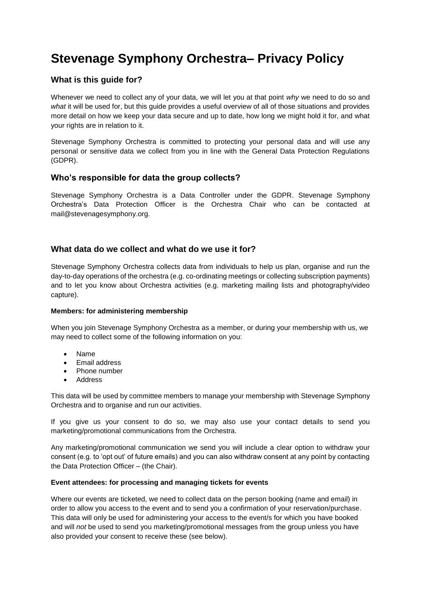# **Stevenage Symphony Orchestra– Privacy Policy**

## **What is this guide for?**

Whenever we need to collect any of your data, we will let you at that point *why* we need to do so and *what* it will be used for, but this guide provides a useful overview of all of those situations and provides more detail on how we keep your data secure and up to date, how long we might hold it for, and what your rights are in relation to it.

Stevenage Symphony Orchestra is committed to protecting your personal data and will use any personal or sensitive data we collect from you in line with the General Data Protection Regulations (GDPR).

#### **Who's responsible for data the group collects?**

Stevenage Symphony Orchestra is a Data Controller under the GDPR. Stevenage Symphony Orchestra's Data Protection Officer is the Orchestra Chair who can be contacted at mail@stevenagesymphony.org.

### **What data do we collect and what do we use it for?**

Stevenage Symphony Orchestra collects data from individuals to help us plan, organise and run the day-to-day operations of the orchestra (e.g. co-ordinating meetings or collecting subscription payments) and to let you know about Orchestra activities (e.g. marketing mailing lists and photography/video capture).

#### **Members: for administering membership**

When you join Stevenage Symphony Orchestra as a member, or during your membership with us, we may need to collect some of the following information on you:

- Name
- Email address
- Phone number
- Address

This data will be used by committee members to manage your membership with Stevenage Symphony Orchestra and to organise and run our activities.

If you give us your consent to do so, we may also use your contact details to send you marketing/promotional communications from the Orchestra.

Any marketing/promotional communication we send you will include a clear option to withdraw your consent (e.g. to 'opt out' of future emails) and you can also withdraw consent at any point by contacting the Data Protection Officer – (the Chair).

#### **Event attendees: for processing and managing tickets for events**

Where our events are ticketed, we need to collect data on the person booking (name and email) in order to allow you access to the event and to send you a confirmation of your reservation/purchase. This data will only be used for administering your access to the event/s for which you have booked and will *not* be used to send you marketing/promotional messages from the group unless you have also provided your consent to receive these (see below).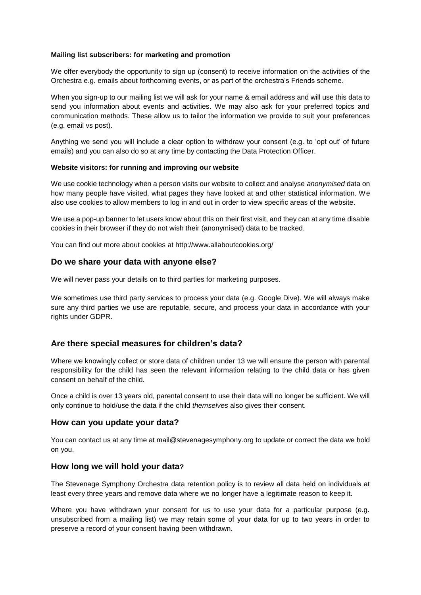#### **Mailing list subscribers: for marketing and promotion**

We offer everybody the opportunity to sign up (consent) to receive information on the activities of the Orchestra e.g. emails about forthcoming events, or as part of the orchestra's Friends scheme.

When you sign-up to our mailing list we will ask for your name & email address and will use this data to send you information about events and activities. We may also ask for your preferred topics and communication methods. These allow us to tailor the information we provide to suit your preferences (e.g. email vs post).

Anything we send you will include a clear option to withdraw your consent (e.g. to 'opt out' of future emails) and you can also do so at any time by contacting the Data Protection Officer.

#### **Website visitors: for running and improving our website**

We use cookie technology when a person visits our website to collect and analyse *anonymised* data on how many people have visited, what pages they have looked at and other statistical information. We also use cookies to allow members to log in and out in order to view specific areas of the website.

We use a pop-up banner to let users know about this on their first visit, and they can at any time disable cookies in their browser if they do not wish their (anonymised) data to be tracked.

You can find out more about cookies at http://www.allaboutcookies.org/

#### **Do we share your data with anyone else?**

We will never pass your details on to third parties for marketing purposes.

We sometimes use third party services to process your data (e.g. Google Dive). We will always make sure any third parties we use are reputable, secure, and process your data in accordance with your rights under GDPR.

### **Are there special measures for children's data?**

Where we knowingly collect or store data of children under 13 we will ensure the person with parental responsibility for the child has seen the relevant information relating to the child data or has given consent on behalf of the child.

Once a child is over 13 years old, parental consent to use their data will no longer be sufficient. We will only continue to hold/use the data if the child *themselves* also gives their consent.

#### **How can you update your data?**

You can contact us at any time at mail@stevenagesymphony.org to update or correct the data we hold on you.

### **How long we will hold your data?**

The Stevenage Symphony Orchestra data retention policy is to review all data held on individuals at least every three years and remove data where we no longer have a legitimate reason to keep it.

Where you have withdrawn your consent for us to use your data for a particular purpose (e.g. unsubscribed from a mailing list) we may retain some of your data for up to two years in order to preserve a record of your consent having been withdrawn.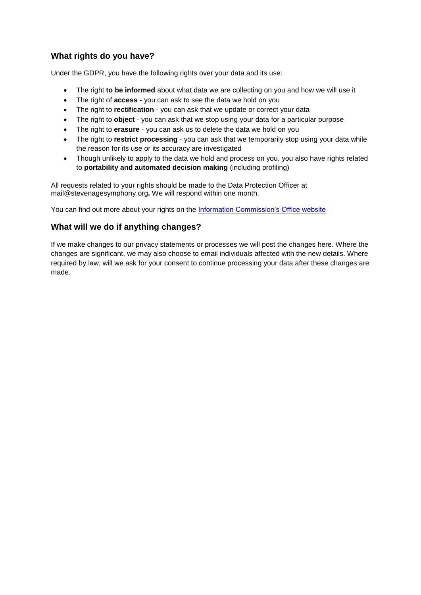## **What rights do you have?**

Under the GDPR, you have the following rights over your data and its use:

- The right **to be informed** about what data we are collecting on you and how we will use it
- The right of **access** you can ask to see the data we hold on you
- The right to **rectification** you can ask that we update or correct your data
- The right to **object** you can ask that we stop using your data for a particular purpose
- The right to **erasure** you can ask us to delete the data we hold on you
- The right to **restrict processing** you can ask that we temporarily stop using your data while the reason for its use or its accuracy are investigated
- Though unlikely to apply to the data we hold and process on you, you also have rights related to **portability and automated decision making** (including profiling)

All requests related to your rights should be made to the Data Protection Officer at mail@stevenagesymphony.org**.** We will respond within one month.

You can find out more about your rights on the [Information Commission's Office website](https://ico.org.uk/for-organisations/guide-to-the-general-data-protection-regulation-gdpr/individual-rights/)

## **What will we do if anything changes?**

If we make changes to our privacy statements or processes we will post the changes here. Where the changes are significant, we may also choose to email individuals affected with the new details. Where required by law, will we ask for your consent to continue processing your data after these changes are made.